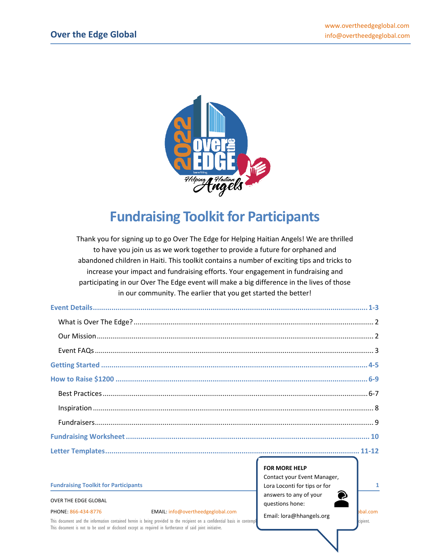

# **Fundraising Toolkit for Participants**

Thank you for signing up to go Over The Edge for Helping Haitian Angels! We are thrilled to have you join us as we work together to provide a future for orphaned and abandoned children in Haiti. This toolkit contains a number of exciting tips and tricks to increase your impact and fundraising efforts. Your engagement in fundraising and participating in our Over The Edge event will make a big difference in the lives of those in our community. The earlier that you get started the better!

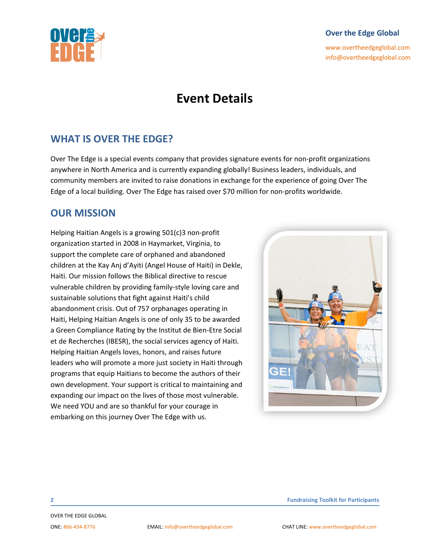[www.overtheedgeglobal.com](http://www.overtheedgeglobal.com/) info@overtheedgeglobal.com

# **Event Details**

### **WHAT IS OVER THE EDGE?**

Over The Edge is a special events company that provides signature events for non-profit organizations anywhere in North America and is currently expanding globally! Business leaders, individuals, and community members are invited to raise donations in exchange for the experience of going Over The Edge of a local building. Over The Edge has raised over \$70 million for non-profits worldwide.

### **OUR MISSION**

Helping Haitian Angels is a growing 501(c)3 non-profit organization started in 2008 in Haymarket, Virginia, to support the complete care of orphaned and abandoned children at the Kay Anj d'Ayiti (Angel House of Haiti) in Dekle, Haiti. Our mission follows the Biblical directive to rescue vulnerable children by providing family-style loving care and sustainable solutions that fight against Haiti's child abandonment crisis. Out of 757 orphanages operating in Haiti, Helping Haitian Angels is one of only 35 to be awarded a Green Compliance Rating by the Institut de Bien-Etre Social et de Recherches (IBESR), the social services agency of Haiti. Helping Haitian Angels loves, honors, and raises future leaders who will promote a more just society in Haiti through programs that equip Haitians to become the authors of their own development. Your support is critical to maintaining and expanding our impact on the lives of those most vulnerable. We need YOU and are so thankful for your courage in embarking on this journey Over The Edge with us.

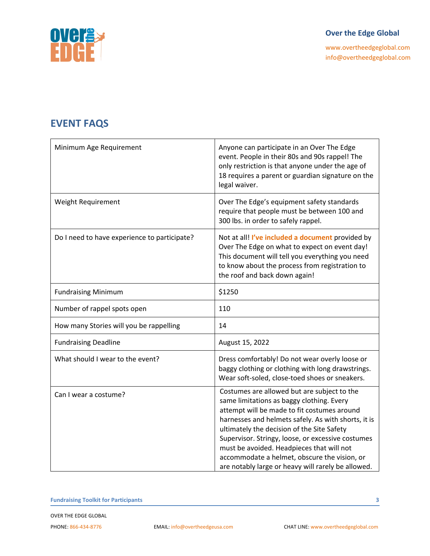

[www.overtheedgeglobal.com](http://www.overtheedgeglobal.com/) info@overtheedgeglobal.com

### **EVENT FAQS**

| Minimum Age Requirement                      | Anyone can participate in an Over The Edge<br>event. People in their 80s and 90s rappel! The<br>only restriction is that anyone under the age of<br>18 requires a parent or guardian signature on the<br>legal waiver.                                                                                                                                                                                                                               |
|----------------------------------------------|------------------------------------------------------------------------------------------------------------------------------------------------------------------------------------------------------------------------------------------------------------------------------------------------------------------------------------------------------------------------------------------------------------------------------------------------------|
| Weight Requirement                           | Over The Edge's equipment safety standards<br>require that people must be between 100 and<br>300 lbs. in order to safely rappel.                                                                                                                                                                                                                                                                                                                     |
| Do I need to have experience to participate? | Not at all! I've included a document provided by<br>Over The Edge on what to expect on event day!<br>This document will tell you everything you need<br>to know about the process from registration to<br>the roof and back down again!                                                                                                                                                                                                              |
| <b>Fundraising Minimum</b>                   | \$1250                                                                                                                                                                                                                                                                                                                                                                                                                                               |
| Number of rappel spots open                  | 110                                                                                                                                                                                                                                                                                                                                                                                                                                                  |
| How many Stories will you be rappelling      | 14                                                                                                                                                                                                                                                                                                                                                                                                                                                   |
| <b>Fundraising Deadline</b>                  | August 15, 2022                                                                                                                                                                                                                                                                                                                                                                                                                                      |
| What should I wear to the event?             | Dress comfortably! Do not wear overly loose or<br>baggy clothing or clothing with long drawstrings.<br>Wear soft-soled, close-toed shoes or sneakers.                                                                                                                                                                                                                                                                                                |
| Can I wear a costume?                        | Costumes are allowed but are subject to the<br>same limitations as baggy clothing. Every<br>attempt will be made to fit costumes around<br>harnesses and helmets safely. As with shorts, it is<br>ultimately the decision of the Site Safety<br>Supervisor. Stringy, loose, or excessive costumes<br>must be avoided. Headpieces that will not<br>accommodate a helmet, obscure the vision, or<br>are notably large or heavy will rarely be allowed. |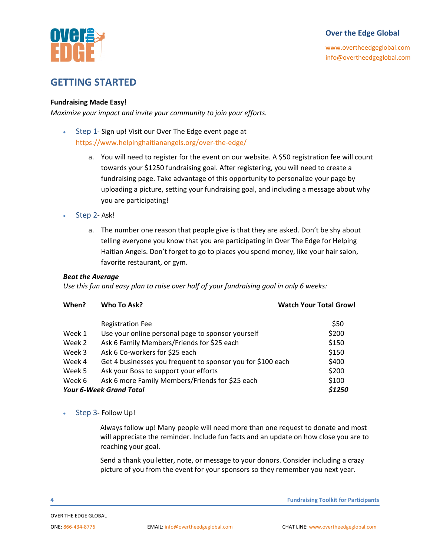



### **GETTING STARTED**

#### **Fundraising Made Easy!**

*Maximize your impact and invite your community to join your efforts.*

- Step 1- Sign up! Visit our Over The Edge event page at <https://www.helpinghaitianangels.org/over-the-edge/>
	- a. You will need to register for the event on our website. A \$50 registration fee will count towards your \$1250 fundraising goal. After registering, you will need to create a fundraising page. Take advantage of this opportunity to personalize your page by uploading a picture, setting your fundraising goal, and including a message about why you are participating!
- Step 2- Ask!
	- a. The number one reason that people give is that they are asked. Don't be shy about telling everyone you know that you are participating in Over The Edge for Helping Haitian Angels. Don't forget to go to places you spend money, like your hair salon, favorite restaurant, or gym.

#### *Beat the Average*

*Use this fun and easy plan to raise over half of your fundraising goal in only 6 weeks:* 

| When?  | Who To Ask?                                                 | <b>Watch Your Total Grow!</b> |
|--------|-------------------------------------------------------------|-------------------------------|
|        | <b>Registration Fee</b>                                     | \$50                          |
| Week 1 | Use your online personal page to sponsor yourself           | \$200                         |
| Week 2 | Ask 6 Family Members/Friends for \$25 each                  | \$150                         |
| Week 3 | Ask 6 Co-workers for \$25 each                              | \$150                         |
| Week 4 | Get 4 businesses you frequent to sponsor you for \$100 each | \$400                         |
| Week 5 | Ask your Boss to support your efforts                       | \$200                         |
| Week 6 | Ask 6 more Family Members/Friends for \$25 each             | \$100                         |
|        | <b>Your 6-Week Grand Total</b>                              | \$1250                        |

Step 3- Follow Up!

Always follow up! Many people will need more than one request to donate and most will appreciate the reminder. Include fun facts and an update on how close you are to reaching your goal.

Send a thank you letter, note, or message to your donors. Consider including a crazy picture of you from the event for your sponsors so they remember you next year.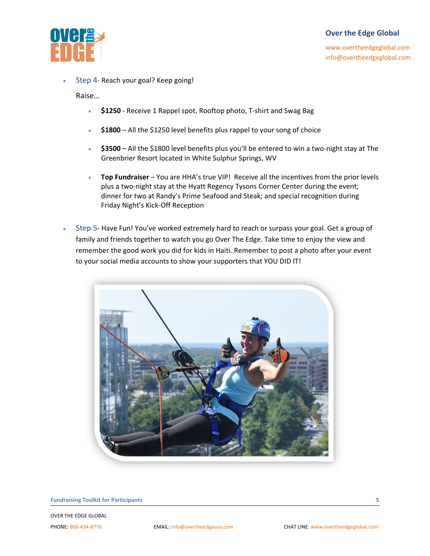

[www.overtheedgeglobal.com](http://www.overtheedgeglobal.com/) info@overtheedgeglobal.com

• Step 4- Reach your goal? Keep going!

Raise…

- **\$1250** Receive 1 Rappel spot, Rooftop photo, T-shirt and Swag Bag
- **\$1800** All the \$1250 level benefits plus rappel to your song of choice
- **\$3500** All the \$1800 level benefits plus you'll be entered to win a two-night stay at The Greenbrier Resort located in White Sulphur Springs, WV
- **Top Fundraiser** You are HHA's true VIP! Receive all the incentives from the prior levels plus a two-night stay at the Hyatt Regency Tysons Corner Center during the event; dinner for two at Randy's Prime Seafood and Steak; and special recognition during Friday Night's Kick-Off Reception
- Step 5- Have Fun! You've worked extremely hard to reach or surpass your goal. Get a group of family and friends together to watch you go Over The Edge. Take time to enjoy the view and remember the good work you did for kids in Haiti. Remember to post a photo after your event to your social media accounts to show your supporters that YOU DID IT!



**Fundraising Toolkit for Participants 5**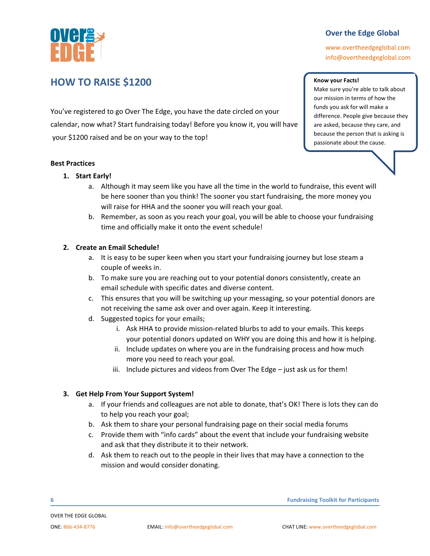

Make sure you're able to talk about our mission in terms of how the funds you ask for will make a difference. People give because they are asked, because they care, and because the person that is asking is passionate about the cause.

**Know your Facts!**

[www.overtheedgeglobal.com](http://www.overtheedgeglobal.com/) info@overtheedgeglobal.com

### **HOW TO RAISE \$1200**

You've registered to go Over The Edge, you have the date circled on your calendar, now what? Start fundraising today! Before you know it, you will have your \$1200 raised and be on your way to the top!

#### **Best Practices**

#### **1. Start Early!**

- a. Although it may seem like you have all the time in the world to fundraise, this event will be here sooner than you think! The sooner you start fundraising, the more money you will raise for HHA and the sooner you will reach your goal.
- b. Remember, as soon as you reach your goal, you will be able to choose your fundraising time and officially make it onto the event schedule!

#### **2. Create an Email Schedule!**

- a. It is easy to be super keen when you start your fundraising journey but lose steam a couple of weeks in.
- b. To make sure you are reaching out to your potential donors consistently, create an email schedule with specific dates and diverse content.
- c. This ensures that you will be switching up your messaging, so your potential donors are not receiving the same ask over and over again. Keep it interesting.
- d. Suggested topics for your emails;
	- i. Ask HHA to provide mission-related blurbs to add to your emails. This keeps your potential donors updated on WHY you are doing this and how it is helping.
	- ii. Include updates on where you are in the fundraising process and how much more you need to reach your goal.
	- iii. Include pictures and videos from Over The Edge just ask us for them!

#### **3. Get Help From Your Support System!**

- a. If your friends and colleagues are not able to donate, that's OK! There is lots they can do to help you reach your goal;
- b. Ask them to share your personal fundraising page on their social media forums
- c. Provide them with "info cards" about the event that include your fundraising website and ask that they distribute it to their network.
- d. Ask them to reach out to the people in their lives that may have a connection to the mission and would consider donating.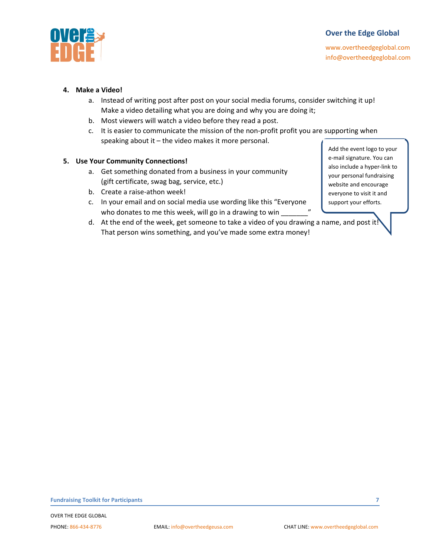

[www.overtheedgeglobal.com](http://www.overtheedgeglobal.com/) info@overtheedgeglobal.com

#### **4. Make a Video!**

- a. Instead of writing post after post on your social media forums, consider switching it up! Make a video detailing what you are doing and why you are doing it;
- b. Most viewers will watch a video before they read a post.
- c. It is easier to communicate the mission of the non-profit profit you are supporting when speaking about it – the video makes it more personal.

#### **5. Use Your Community Connections!**

- a. Get something donated from a business in your community (gift certificate, swag bag, service, etc.)
- b. Create a raise-athon week!
- c. In your email and on social media use wording like this "Everyone who donates to me this week, will go in a drawing to win \_
- d. At the end of the week, get someone to take a video of you drawing a name, and post it! That person wins something, and you've made some extra money!

Add the event logo to your e-mail signature. You can also include a hyper-link to your personal fundraising website and encourage everyone to visit it and support your efforts.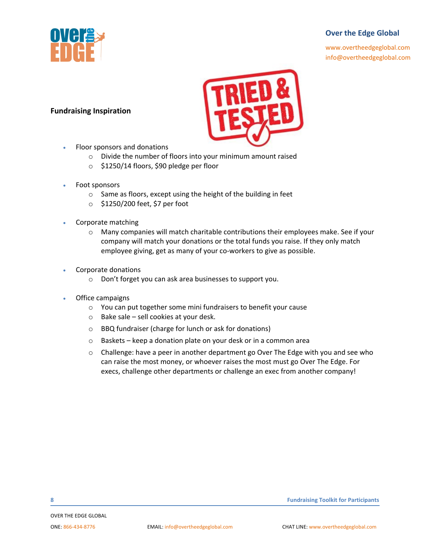

[www.overtheedgeglobal.com](http://www.overtheedgeglobal.com/) info@overtheedgeglobal.com

## **Fundraising Inspiration**

- Floor sponsors and donations
	- o Divide the number of floors into your minimum amount raised
	- o \$1250/14 floors, \$90 pledge per floor
- Foot sponsors
	- o Same as floors, except using the height of the building in feet
	- o \$1250/200 feet, \$7 per foot
- Corporate matching
	- o Many companies will match charitable contributions their employees make. See if your company will match your donations or the total funds you raise. If they only match employee giving, get as many of your co-workers to give as possible.
- Corporate donations
	- o Don't forget you can ask area businesses to support you.
- Office campaigns
	- o You can put together some mini fundraisers to benefit your cause
	- o Bake sale sell cookies at your desk.
	- o BBQ fundraiser (charge for lunch or ask for donations)
	- o Baskets keep a donation plate on your desk or in a common area
	- $\circ$  Challenge: have a peer in another department go Over The Edge with you and see who can raise the most money, or whoever raises the most must go Over The Edge. For execs, challenge other departments or challenge an exec from another company!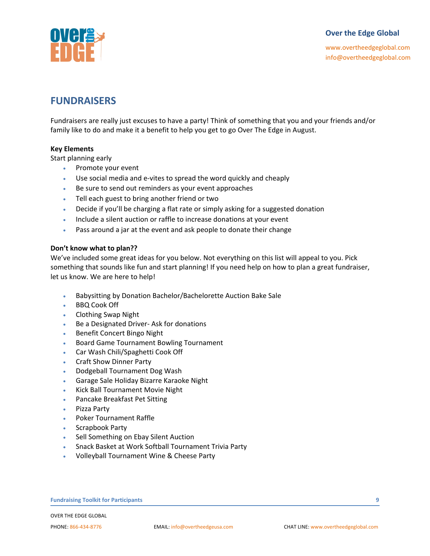

[www.overtheedgeglobal.com](http://www.overtheedgeglobal.com/) info@overtheedgeglobal.com

### **FUNDRAISERS**

Fundraisers are really just excuses to have a party! Think of something that you and your friends and/or family like to do and make it a benefit to help you get to go Over The Edge in August.

#### **Key Elements**

Start planning early

- Promote your event
- Use social media and e-vites to spread the word quickly and cheaply
- Be sure to send out reminders as your event approaches
- Tell each guest to bring another friend or two
- Decide if you'll be charging a flat rate or simply asking for a suggested donation
- Include a silent auction or raffle to increase donations at your event
- Pass around a jar at the event and ask people to donate their change

#### **Don't know what to plan??**

We've included some great ideas for you below. Not everything on this list will appeal to you. Pick something that sounds like fun and start planning! If you need help on how to plan a great fundraiser, let us know. We are here to help!

- Babysitting by Donation Bachelor/Bachelorette Auction Bake Sale
- **BBQ Cook Off**
- Clothing Swap Night
- Be a Designated Driver- Ask for donations
- Benefit Concert Bingo Night
- Board Game Tournament Bowling Tournament
- Car Wash Chili/Spaghetti Cook Off
- Craft Show Dinner Party
- Dodgeball Tournament Dog Wash
- Garage Sale Holiday Bizarre Karaoke Night
- Kick Ball Tournament Movie Night
- Pancake Breakfast Pet Sitting
- Pizza Party
- Poker Tournament Raffle
- Scrapbook Party
- Sell Something on Ebay Silent Auction
- Snack Basket at Work Softball Tournament Trivia Party
- Volleyball Tournament Wine & Cheese Party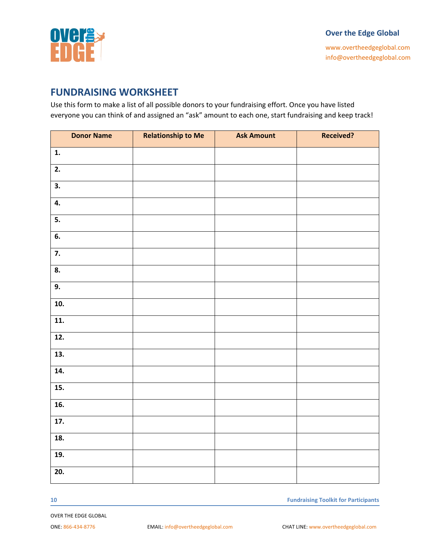

[www.overtheedgeglobal.com](http://www.overtheedgeglobal.com/) info@overtheedgeglobal.com

### **FUNDRAISING WORKSHEET**

Use this form to make a list of all possible donors to your fundraising effort. Once you have listed everyone you can think of and assigned an "ask" amount to each one, start fundraising and keep track!

| <b>Donor Name</b>         | <b>Relationship to Me</b> | <b>Ask Amount</b> | Received? |
|---------------------------|---------------------------|-------------------|-----------|
| 1.                        |                           |                   |           |
| 2.                        |                           |                   |           |
| $\overline{\mathbf{3}}$ . |                           |                   |           |
| 4.                        |                           |                   |           |
| 5.                        |                           |                   |           |
| $\overline{6}$ .          |                           |                   |           |
| $\overline{7}$ .          |                           |                   |           |
| 8.                        |                           |                   |           |
| 9.                        |                           |                   |           |
| 10.                       |                           |                   |           |
| 11.                       |                           |                   |           |
| 12.                       |                           |                   |           |
| 13.                       |                           |                   |           |
| 14.                       |                           |                   |           |
| 15.                       |                           |                   |           |
| $\overline{16}$ .         |                           |                   |           |
| $\overline{17}$ .         |                           |                   |           |
| 18.                       |                           |                   |           |
| 19.                       |                           |                   |           |
| 20.                       |                           |                   |           |

**10 Fundraising Toolkit for Participants**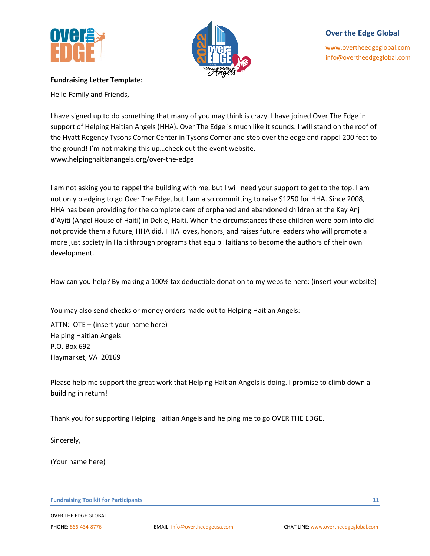



[www.overtheedgeglobal.com](http://www.overtheedgeglobal.com/) info@overtheedgeglobal.com

#### **Fundraising Letter Template:**

Hello Family and Friends,

I have signed up to do something that many of you may think is crazy. I have joined Over The Edge in support of Helping Haitian Angels (HHA). Over The Edge is much like it sounds. I will stand on the roof of the Hyatt Regency Tysons Corner Center in Tysons Corner and step over the edge and rappel 200 feet to the ground! I'm not making this up…check out the event website. www.helpinghaitianangels.org/over-the-edge

I am not asking you to rappel the building with me, but I will need your support to get to the top. I am not only pledging to go Over The Edge, but I am also committing to raise \$1250 for HHA. Since 2008, HHA has been providing for the complete care of orphaned and abandoned children at the Kay Anj d'Ayiti (Angel House of Haiti) in Dekle, Haiti. When the circumstances these children were born into did not provide them a future, HHA did. HHA loves, honors, and raises future leaders who will promote a more just society in Haiti through programs that equip Haitians to become the authors of their own development.

How can you help? By making a 100% tax deductible donation to my website here: (insert your website)

You may also send checks or money orders made out to Helping Haitian Angels:

ATTN: OTE – (insert your name here) Helping Haitian Angels P.O. Box 692 Haymarket, VA 20169

Please help me support the great work that Helping Haitian Angels is doing. I promise to climb down a building in return!

Thank you for supporting Helping Haitian Angels and helping me to go OVER THE EDGE.

Sincerely,

(Your name here)

OVER THE EDGE GLOBAL